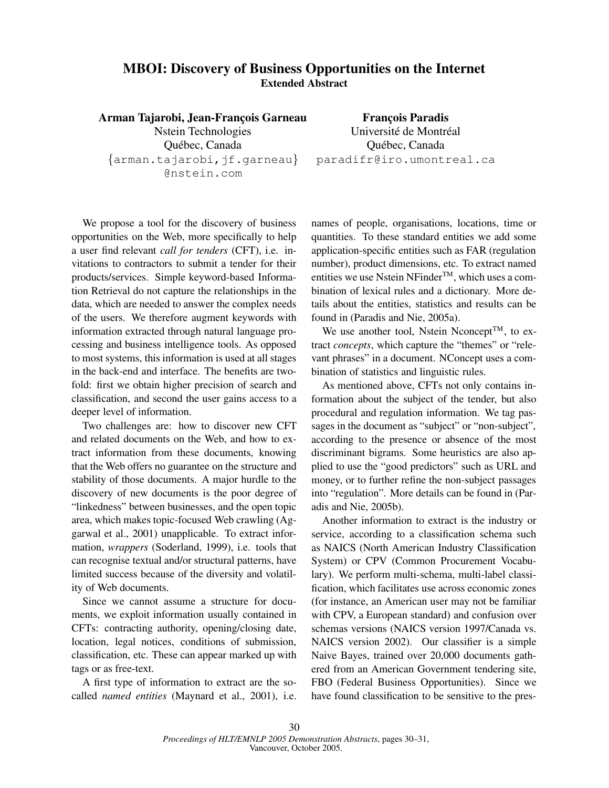## **MBOI: Discovery of Business Opportunities on the Internet Extended Abstract**

**Arman Tajarobi, Jean-Franc¸ois Garneau** Nstein Technologies Québec, Canada {arman.tajarobi,jf.garneau} @nstein.com

**Franc¸ois Paradis** Université de Montréal Québec, Canada paradifr@iro.umontreal.ca

We propose a tool for the discovery of business opportunities on the Web, more specifically to help a user find relevant *call for tenders* (CFT), i.e. invitations to contractors to submit a tender for their products/services. Simple keyword-based Information Retrieval do not capture the relationships in the data, which are needed to answer the complex needs of the users. We therefore augment keywords with information extracted through natural language processing and business intelligence tools. As opposed to most systems, this information is used at all stages in the back-end and interface. The benefits are twofold: first we obtain higher precision of search and classification, and second the user gains access to a deeper level of information.

Two challenges are: how to discover new CFT and related documents on the Web, and how to extract information from these documents, knowing that the Web offers no guarantee on the structure and stability of those documents. A major hurdle to the discovery of new documents is the poor degree of "linkedness" between businesses, and the open topic area, which makes topic-focused Web crawling (Aggarwal et al., 2001) unapplicable. To extract information, *wrappers* (Soderland, 1999), i.e. tools that can recognise textual and/or structural patterns, have limited success because of the diversity and volatility of Web documents.

Since we cannot assume a structure for documents, we exploit information usually contained in CFTs: contracting authority, opening/closing date, location, legal notices, conditions of submission, classification, etc. These can appear marked up with tags or as free-text.

A first type of information to extract are the socalled *named entities* (Maynard et al., 2001), i.e. names of people, organisations, locations, time or quantities. To these standard entities we add some application-specific entities such as FAR (regulation number), product dimensions, etc. To extract named entities we use Nstein NFinder<sup>TM</sup>, which uses a combination of lexical rules and a dictionary. More details about the entities, statistics and results can be found in (Paradis and Nie, 2005a).

We use another tool, Nstein Nconcept<sup>TM</sup>, to extract *concepts*, which capture the "themes" or "relevant phrases" in a document. NConcept uses a combination of statistics and linguistic rules.

As mentioned above, CFTs not only contains information about the subject of the tender, but also procedural and regulation information. We tag passages in the document as "subject" or "non-subject", according to the presence or absence of the most discriminant bigrams. Some heuristics are also applied to use the "good predictors" such as URL and money, or to further refine the non-subject passages into "regulation". More details can be found in (Paradis and Nie, 2005b).

Another information to extract is the industry or service, according to a classification schema such as NAICS (North American Industry Classification System) or CPV (Common Procurement Vocabulary). We perform multi-schema, multi-label classification, which facilitates use across economic zones (for instance, an American user may not be familiar with CPV, a European standard) and confusion over schemas versions (NAICS version 1997/Canada vs. NAICS version 2002). Our classifier is a simple Naive Bayes, trained over 20,000 documents gathered from an American Government tendering site, FBO (Federal Business Opportunities). Since we have found classification to be sensitive to the pres